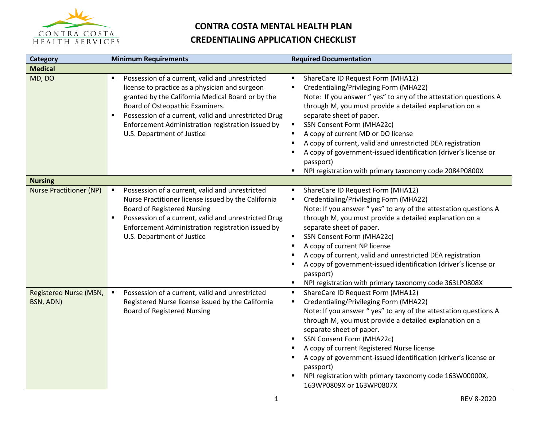

| Category                            | <b>Minimum Requirements</b>                                                                                                                                                                                                                                                                                                               | <b>Required Documentation</b>                                                                                                                                                                                                                                                                                                                                                                                                                                                                                                                |
|-------------------------------------|-------------------------------------------------------------------------------------------------------------------------------------------------------------------------------------------------------------------------------------------------------------------------------------------------------------------------------------------|----------------------------------------------------------------------------------------------------------------------------------------------------------------------------------------------------------------------------------------------------------------------------------------------------------------------------------------------------------------------------------------------------------------------------------------------------------------------------------------------------------------------------------------------|
| <b>Medical</b>                      |                                                                                                                                                                                                                                                                                                                                           |                                                                                                                                                                                                                                                                                                                                                                                                                                                                                                                                              |
| MD, DO                              | Possession of a current, valid and unrestricted<br>license to practice as a physician and surgeon<br>granted by the California Medical Board or by the<br>Board of Osteopathic Examiners.<br>Possession of a current, valid and unrestricted Drug<br>٠<br>Enforcement Administration registration issued by<br>U.S. Department of Justice | ShareCare ID Request Form (MHA12)<br>Credentialing/Privileging Form (MHA22)<br>Note: If you answer "yes" to any of the attestation questions A<br>through M, you must provide a detailed explanation on a<br>separate sheet of paper.<br>SSN Consent Form (MHA22c)<br>٠<br>A copy of current MD or DO license<br>$\blacksquare$<br>A copy of current, valid and unrestricted DEA registration<br>A copy of government-issued identification (driver's license or<br>passport)<br>NPI registration with primary taxonomy code 2084P0800X<br>٠ |
| <b>Nursing</b>                      |                                                                                                                                                                                                                                                                                                                                           |                                                                                                                                                                                                                                                                                                                                                                                                                                                                                                                                              |
| <b>Nurse Practitioner (NP)</b>      | Possession of a current, valid and unrestricted<br>$\blacksquare$<br>Nurse Practitioner license issued by the California<br><b>Board of Registered Nursing</b><br>Possession of a current, valid and unrestricted Drug<br>Enforcement Administration registration issued by<br>U.S. Department of Justice                                 | ShareCare ID Request Form (MHA12)<br>Credentialing/Privileging Form (MHA22)<br>Note: If you answer "yes" to any of the attestation questions A<br>through M, you must provide a detailed explanation on a<br>separate sheet of paper.<br>SSN Consent Form (MHA22c)<br>$\blacksquare$<br>A copy of current NP license<br>٠<br>A copy of current, valid and unrestricted DEA registration<br>A copy of government-issued identification (driver's license or<br>passport)<br>NPI registration with primary taxonomy code 363LP0808X            |
| Registered Nurse (MSN,<br>BSN, ADN) | Possession of a current, valid and unrestricted<br>$\blacksquare$<br>Registered Nurse license issued by the California<br><b>Board of Registered Nursing</b>                                                                                                                                                                              | ShareCare ID Request Form (MHA12)<br>п<br>Credentialing/Privileging Form (MHA22)<br>٠<br>Note: If you answer "yes" to any of the attestation questions A<br>through M, you must provide a detailed explanation on a<br>separate sheet of paper.<br>SSN Consent Form (MHA22c)<br>A copy of current Registered Nurse license<br>A copy of government-issued identification (driver's license or<br>passport)<br>NPI registration with primary taxonomy code 163W00000X,<br>163WP0809X or 163WP0807X                                            |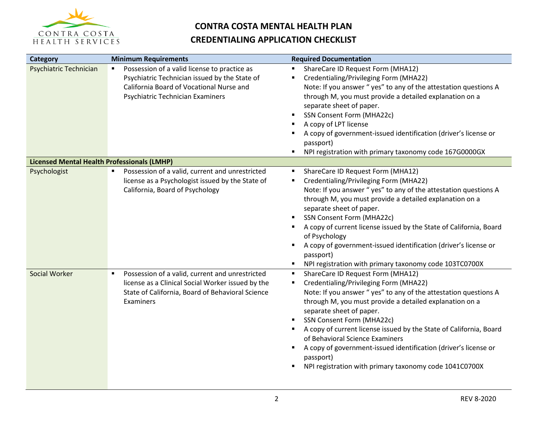

| Category                                           | <b>Minimum Requirements</b>                                                                                                                                                                     | <b>Required Documentation</b>                                                                                                                                                                                                                                                                                                                                                                                                                                                                                                                            |
|----------------------------------------------------|-------------------------------------------------------------------------------------------------------------------------------------------------------------------------------------------------|----------------------------------------------------------------------------------------------------------------------------------------------------------------------------------------------------------------------------------------------------------------------------------------------------------------------------------------------------------------------------------------------------------------------------------------------------------------------------------------------------------------------------------------------------------|
| Psychiatric Technician                             | Possession of a valid license to practice as<br>$\blacksquare$<br>Psychiatric Technician issued by the State of<br>California Board of Vocational Nurse and<br>Psychiatric Technician Examiners | ShareCare ID Request Form (MHA12)<br>п<br>Credentialing/Privileging Form (MHA22)<br>٠<br>Note: If you answer "yes" to any of the attestation questions A<br>through M, you must provide a detailed explanation on a<br>separate sheet of paper.<br>SSN Consent Form (MHA22c)<br>A copy of LPT license<br>A copy of government-issued identification (driver's license or<br>passport)<br>NPI registration with primary taxonomy code 167G0000GX<br>٠                                                                                                     |
| <b>Licensed Mental Health Professionals (LMHP)</b> |                                                                                                                                                                                                 |                                                                                                                                                                                                                                                                                                                                                                                                                                                                                                                                                          |
| Psychologist                                       | Possession of a valid, current and unrestricted<br>$\blacksquare$<br>license as a Psychologist issued by the State of<br>California, Board of Psychology                                        | ShareCare ID Request Form (MHA12)<br>Credentialing/Privileging Form (MHA22)<br>$\blacksquare$<br>Note: If you answer "yes" to any of the attestation questions A<br>through M, you must provide a detailed explanation on a<br>separate sheet of paper.<br><b>SSN Consent Form (MHA22c)</b><br>A copy of current license issued by the State of California, Board<br>of Psychology<br>A copy of government-issued identification (driver's license or<br>٠<br>passport)<br>NPI registration with primary taxonomy code 103TC0700X                        |
| Social Worker                                      | Possession of a valid, current and unrestricted<br>$\blacksquare$<br>license as a Clinical Social Worker issued by the<br>State of California, Board of Behavioral Science<br>Examiners         | ShareCare ID Request Form (MHA12)<br>$\blacksquare$<br>Credentialing/Privileging Form (MHA22)<br>Note: If you answer "yes" to any of the attestation questions A<br>through M, you must provide a detailed explanation on a<br>separate sheet of paper.<br><b>SSN Consent Form (MHA22c)</b><br>A copy of current license issued by the State of California, Board<br>٠<br>of Behavioral Science Examiners<br>A copy of government-issued identification (driver's license or<br>٠<br>passport)<br>NPI registration with primary taxonomy code 1041C0700X |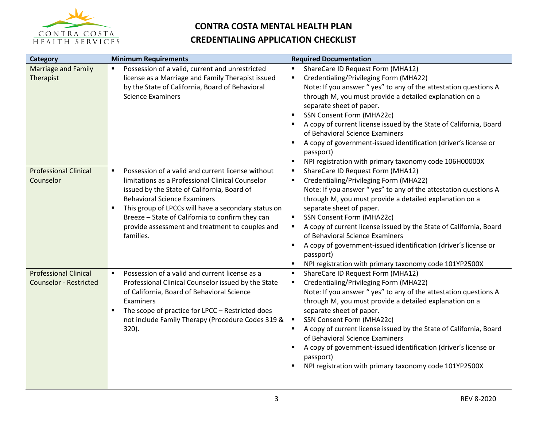

| Category                                                      | <b>Minimum Requirements</b>                                                                                                                                                                                                                                                                                                                                                                                | <b>Required Documentation</b>                                                                                                                                                                                                                                                                                                                                                                                                                                                                                                                     |
|---------------------------------------------------------------|------------------------------------------------------------------------------------------------------------------------------------------------------------------------------------------------------------------------------------------------------------------------------------------------------------------------------------------------------------------------------------------------------------|---------------------------------------------------------------------------------------------------------------------------------------------------------------------------------------------------------------------------------------------------------------------------------------------------------------------------------------------------------------------------------------------------------------------------------------------------------------------------------------------------------------------------------------------------|
| <b>Marriage and Family</b><br>Therapist                       | Possession of a valid, current and unrestricted<br>٠<br>license as a Marriage and Family Therapist issued<br>by the State of California, Board of Behavioral<br><b>Science Examiners</b>                                                                                                                                                                                                                   | ShareCare ID Request Form (MHA12)<br>٠<br>Credentialing/Privileging Form (MHA22)<br>٠<br>Note: If you answer "yes" to any of the attestation questions A<br>through M, you must provide a detailed explanation on a<br>separate sheet of paper.<br>SSN Consent Form (MHA22c)<br>A copy of current license issued by the State of California, Board<br>of Behavioral Science Examiners<br>A copy of government-issued identification (driver's license or<br>٠<br>passport)<br>NPI registration with primary taxonomy code 106H00000X<br>٠         |
| <b>Professional Clinical</b><br>Counselor                     | Possession of a valid and current license without<br>$\blacksquare$<br>limitations as a Professional Clinical Counselor<br>issued by the State of California, Board of<br><b>Behavioral Science Examiners</b><br>This group of LPCCs will have a secondary status on<br>$\blacksquare$<br>Breeze - State of California to confirm they can<br>provide assessment and treatment to couples and<br>families. | ShareCare ID Request Form (MHA12)<br>Credentialing/Privileging Form (MHA22)<br>Note: If you answer "yes" to any of the attestation questions A<br>through M, you must provide a detailed explanation on a<br>separate sheet of paper.<br>SSN Consent Form (MHA22c)<br>٠<br>A copy of current license issued by the State of California, Board<br>of Behavioral Science Examiners<br>A copy of government-issued identification (driver's license or<br>٠<br>passport)<br>NPI registration with primary taxonomy code 101YP2500X<br>٠              |
| <b>Professional Clinical</b><br><b>Counselor - Restricted</b> | Possession of a valid and current license as a<br>$\blacksquare$<br>Professional Clinical Counselor issued by the State<br>of California, Board of Behavioral Science<br>Examiners<br>The scope of practice for LPCC - Restricted does<br>٠<br>not include Family Therapy (Procedure Codes 319 &<br>320).                                                                                                  | ShareCare ID Request Form (MHA12)<br>٠<br>Credentialing/Privileging Form (MHA22)<br>п<br>Note: If you answer "yes" to any of the attestation questions A<br>through M, you must provide a detailed explanation on a<br>separate sheet of paper.<br>SSN Consent Form (MHA22c)<br>A copy of current license issued by the State of California, Board<br>of Behavioral Science Examiners<br>A copy of government-issued identification (driver's license or<br>$\blacksquare$<br>passport)<br>NPI registration with primary taxonomy code 101YP2500X |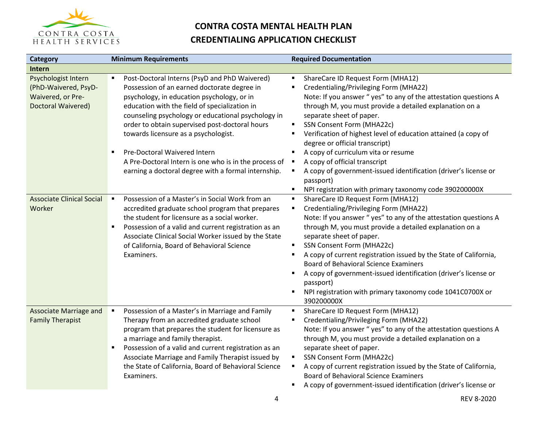

| Category                                                                               | <b>Minimum Requirements</b>                                                                                                                                                                                                                                                                                                                                                          | <b>Required Documentation</b>                                                                                                                                                                                                                                                                                                                                                                                                                                                                                                                                                       |
|----------------------------------------------------------------------------------------|--------------------------------------------------------------------------------------------------------------------------------------------------------------------------------------------------------------------------------------------------------------------------------------------------------------------------------------------------------------------------------------|-------------------------------------------------------------------------------------------------------------------------------------------------------------------------------------------------------------------------------------------------------------------------------------------------------------------------------------------------------------------------------------------------------------------------------------------------------------------------------------------------------------------------------------------------------------------------------------|
| Intern                                                                                 |                                                                                                                                                                                                                                                                                                                                                                                      |                                                                                                                                                                                                                                                                                                                                                                                                                                                                                                                                                                                     |
| Psychologist Intern<br>(PhD-Waivered, PsyD-<br>Waivered, or Pre-<br>Doctoral Waivered) | Post-Doctoral Interns (PsyD and PhD Waivered)<br>$\blacksquare$<br>Possession of an earned doctorate degree in<br>psychology, in education psychology, or in<br>education with the field of specialization in<br>counseling psychology or educational psychology in<br>order to obtain supervised post-doctoral hours<br>towards licensure as a psychologist.                        | ShareCare ID Request Form (MHA12)<br>$\blacksquare$<br>Credentialing/Privileging Form (MHA22)<br>Note: If you answer "yes" to any of the attestation questions A<br>through M, you must provide a detailed explanation on a<br>separate sheet of paper.<br>SSN Consent Form (MHA22c)<br>٠<br>Verification of highest level of education attained (a copy of<br>٠<br>degree or official transcript)                                                                                                                                                                                  |
|                                                                                        | Pre-Doctoral Waivered Intern<br>٠<br>A Pre-Doctoral Intern is one who is in the process of<br>earning a doctoral degree with a formal internship.                                                                                                                                                                                                                                    | A copy of curriculum vita or resume<br>٠<br>A copy of official transcript<br>A copy of government-issued identification (driver's license or<br>passport)<br>NPI registration with primary taxonomy code 390200000X                                                                                                                                                                                                                                                                                                                                                                 |
| <b>Associate Clinical Social</b><br>Worker                                             | Possession of a Master's in Social Work from an<br>$\blacksquare$<br>accredited graduate school program that prepares<br>the student for licensure as a social worker.<br>Possession of a valid and current registration as an<br>$\blacksquare$<br>Associate Clinical Social Worker issued by the State<br>of California, Board of Behavioral Science<br>Examiners.                 | ShareCare ID Request Form (MHA12)<br>٠<br>Credentialing/Privileging Form (MHA22)<br>٠<br>Note: If you answer "yes" to any of the attestation questions A<br>through M, you must provide a detailed explanation on a<br>separate sheet of paper.<br>SSN Consent Form (MHA22c)<br>$\blacksquare$<br>A copy of current registration issued by the State of California,<br><b>Board of Behavioral Science Examiners</b><br>A copy of government-issued identification (driver's license or<br>٠<br>passport)<br>NPI registration with primary taxonomy code 1041C0700X or<br>390200000X |
| <b>Associate Marriage and</b><br><b>Family Therapist</b>                               | Possession of a Master's in Marriage and Family<br>٠<br>Therapy from an accredited graduate school<br>program that prepares the student for licensure as<br>a marriage and family therapist.<br>Possession of a valid and current registration as an<br>٠<br>Associate Marriage and Family Therapist issued by<br>the State of California, Board of Behavioral Science<br>Examiners. | ShareCare ID Request Form (MHA12)<br>٠<br>Credentialing/Privileging Form (MHA22)<br>٠<br>Note: If you answer "yes" to any of the attestation questions A<br>through M, you must provide a detailed explanation on a<br>separate sheet of paper.<br>SSN Consent Form (MHA22c)<br>A copy of current registration issued by the State of California,<br><b>Board of Behavioral Science Examiners</b><br>A copy of government-issued identification (driver's license or                                                                                                                |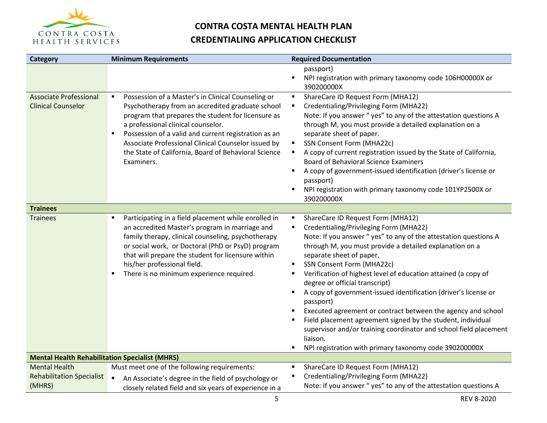

| Category                                                   | <b>Minimum Requirements</b>                                                                                                                                                                                                                                                                                                                                                                                                 | <b>Required Documentation</b>                                                                                                                                                                                                                                                                                                                                                                                                                                                                                                                                                                                                                                                                                                                                                  |
|------------------------------------------------------------|-----------------------------------------------------------------------------------------------------------------------------------------------------------------------------------------------------------------------------------------------------------------------------------------------------------------------------------------------------------------------------------------------------------------------------|--------------------------------------------------------------------------------------------------------------------------------------------------------------------------------------------------------------------------------------------------------------------------------------------------------------------------------------------------------------------------------------------------------------------------------------------------------------------------------------------------------------------------------------------------------------------------------------------------------------------------------------------------------------------------------------------------------------------------------------------------------------------------------|
|                                                            |                                                                                                                                                                                                                                                                                                                                                                                                                             | passport)<br>$\blacksquare$<br>NPI registration with primary taxonomy code 106H00000X or<br>390200000X                                                                                                                                                                                                                                                                                                                                                                                                                                                                                                                                                                                                                                                                         |
| <b>Associate Professional</b><br><b>Clinical Counselor</b> | Possession of a Master's in Clinical Counseling or<br>$\blacksquare$<br>Psychotherapy from an accredited graduate school<br>program that prepares the student for licensure as<br>a professional clinical counselor.<br>Possession of a valid and current registration as an<br>$\blacksquare$<br>Associate Professional Clinical Counselor issued by<br>the State of California, Board of Behavioral Science<br>Examiners. | ShareCare ID Request Form (MHA12)<br>٠<br>Credentialing/Privileging Form (MHA22)<br>٠<br>Note: If you answer "yes" to any of the attestation questions A<br>through M, you must provide a detailed explanation on a<br>separate sheet of paper.<br>SSN Consent Form (MHA22c)<br>٠<br>A copy of current registration issued by the State of California,<br><b>Board of Behavioral Science Examiners</b><br>A copy of government-issued identification (driver's license or<br>passport)<br>NPI registration with primary taxonomy code 101YP2500X or<br>390200000X                                                                                                                                                                                                              |
| <b>Trainees</b>                                            |                                                                                                                                                                                                                                                                                                                                                                                                                             |                                                                                                                                                                                                                                                                                                                                                                                                                                                                                                                                                                                                                                                                                                                                                                                |
| <b>Trainees</b>                                            | Participating in a field placement while enrolled in<br>$\blacksquare$<br>an accredited Master's program in marriage and<br>family therapy, clinical counseling, psychotherapy<br>or social work, or Doctoral (PhD or PsyD) program<br>that will prepare the student for licensure within<br>his/her professional field.<br>There is no minimum experience required.<br>٠                                                   | ShareCare ID Request Form (MHA12)<br>٠<br>Credentialing/Privileging Form (MHA22)<br>Note: If you answer "yes" to any of the attestation questions A<br>through M, you must provide a detailed explanation on a<br>separate sheet of paper.<br>SSN Consent Form (MHA22c)<br>$\blacksquare$<br>Verification of highest level of education attained (a copy of<br>٠<br>degree or official transcript)<br>A copy of government-issued identification (driver's license or<br>$\blacksquare$<br>passport)<br>Executed agreement or contract between the agency and school<br>Field placement agreement signed by the student, individual<br>supervisor and/or training coordinator and school field placement<br>liaison.<br>NPI registration with primary taxonomy code 390200000X |
| <b>Mental Health Rehabilitation Specialist (MHRS)</b>      |                                                                                                                                                                                                                                                                                                                                                                                                                             |                                                                                                                                                                                                                                                                                                                                                                                                                                                                                                                                                                                                                                                                                                                                                                                |
| <b>Mental Health</b>                                       | Must meet one of the following requirements:                                                                                                                                                                                                                                                                                                                                                                                | ShareCare ID Request Form (MHA12)                                                                                                                                                                                                                                                                                                                                                                                                                                                                                                                                                                                                                                                                                                                                              |
| <b>Rehabilitation Specialist</b><br>(MHRS)                 | An Associate's degree in the field of psychology or<br>$\blacksquare$<br>closely related field and six years of experience in a                                                                                                                                                                                                                                                                                             | Credentialing/Privileging Form (MHA22)<br>Note: If you answer "yes" to any of the attestation questions A                                                                                                                                                                                                                                                                                                                                                                                                                                                                                                                                                                                                                                                                      |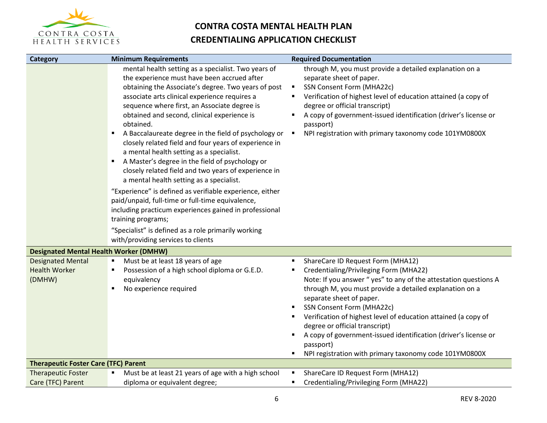

| <b>Category</b>                                            | <b>Minimum Requirements</b>                                                                                                                                                                                                                                                                                                                                                                                                                                                                                                                                                                                                                                                                                                                                                                                                                                                                                                                       | <b>Required Documentation</b>                                                                                                                                                                                                                                                                                                                                                                                                                                                                                                   |
|------------------------------------------------------------|---------------------------------------------------------------------------------------------------------------------------------------------------------------------------------------------------------------------------------------------------------------------------------------------------------------------------------------------------------------------------------------------------------------------------------------------------------------------------------------------------------------------------------------------------------------------------------------------------------------------------------------------------------------------------------------------------------------------------------------------------------------------------------------------------------------------------------------------------------------------------------------------------------------------------------------------------|---------------------------------------------------------------------------------------------------------------------------------------------------------------------------------------------------------------------------------------------------------------------------------------------------------------------------------------------------------------------------------------------------------------------------------------------------------------------------------------------------------------------------------|
|                                                            | mental health setting as a specialist. Two years of<br>the experience must have been accrued after<br>obtaining the Associate's degree. Two years of post<br>associate arts clinical experience requires a<br>sequence where first, an Associate degree is<br>obtained and second, clinical experience is<br>obtained.<br>A Baccalaureate degree in the field of psychology or<br>٠<br>closely related field and four years of experience in<br>a mental health setting as a specialist.<br>A Master's degree in the field of psychology or<br>٠<br>closely related field and two years of experience in<br>a mental health setting as a specialist.<br>"Experience" is defined as verifiable experience, either<br>paid/unpaid, full-time or full-time equivalence,<br>including practicum experiences gained in professional<br>training programs;<br>"Specialist" is defined as a role primarily working<br>with/providing services to clients | through M, you must provide a detailed explanation on a<br>separate sheet of paper.<br>SSN Consent Form (MHA22c)<br>$\blacksquare$<br>Verification of highest level of education attained (a copy of<br>degree or official transcript)<br>A copy of government-issued identification (driver's license or<br>passport)<br>NPI registration with primary taxonomy code 101YM0800X<br>$\blacksquare$                                                                                                                              |
| <b>Designated Mental Health Worker (DMHW)</b>              |                                                                                                                                                                                                                                                                                                                                                                                                                                                                                                                                                                                                                                                                                                                                                                                                                                                                                                                                                   |                                                                                                                                                                                                                                                                                                                                                                                                                                                                                                                                 |
| <b>Designated Mental</b><br><b>Health Worker</b><br>(DMHW) | Must be at least 18 years of age<br>٠<br>Possession of a high school diploma or G.E.D.<br>$\blacksquare$<br>equivalency<br>No experience required<br>٠                                                                                                                                                                                                                                                                                                                                                                                                                                                                                                                                                                                                                                                                                                                                                                                            | ShareCare ID Request Form (MHA12)<br>٠<br>Credentialing/Privileging Form (MHA22)<br>Note: If you answer "yes" to any of the attestation questions A<br>through M, you must provide a detailed explanation on a<br>separate sheet of paper.<br>SSN Consent Form (MHA22c)<br>٠<br>Verification of highest level of education attained (a copy of<br>degree or official transcript)<br>A copy of government-issued identification (driver's license or<br>passport)<br>NPI registration with primary taxonomy code 101YM0800X<br>٠ |
| <b>Therapeutic Foster Care (TFC) Parent</b>                |                                                                                                                                                                                                                                                                                                                                                                                                                                                                                                                                                                                                                                                                                                                                                                                                                                                                                                                                                   |                                                                                                                                                                                                                                                                                                                                                                                                                                                                                                                                 |
| <b>Therapeutic Foster</b><br>Care (TFC) Parent             | Must be at least 21 years of age with a high school<br>diploma or equivalent degree;                                                                                                                                                                                                                                                                                                                                                                                                                                                                                                                                                                                                                                                                                                                                                                                                                                                              | ShareCare ID Request Form (MHA12)<br>$\blacksquare$<br>Credentialing/Privileging Form (MHA22)                                                                                                                                                                                                                                                                                                                                                                                                                                   |